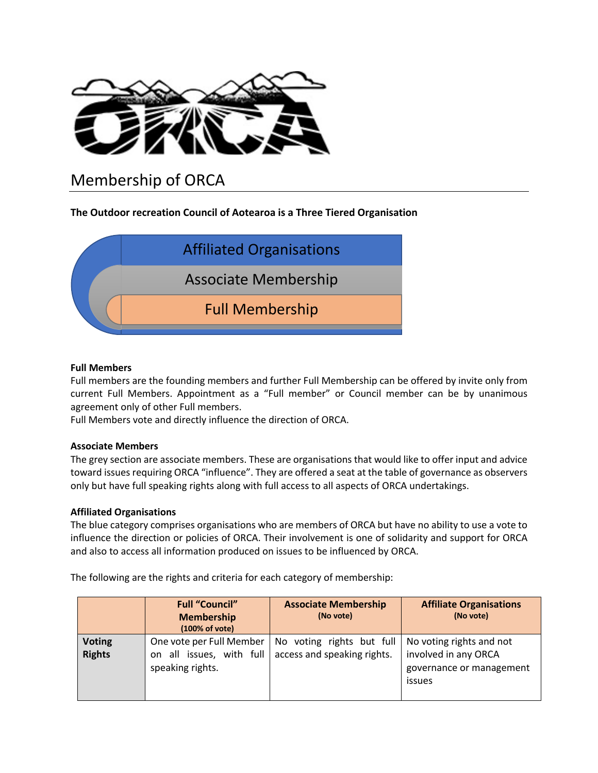

# Membership of ORCA

# **The Outdoor recreation Council of Aotearoa is a Three Tiered Organisation**



#### **Full Members**

Full members are the founding members and further Full Membership can be offered by invite only from current Full Members. Appointment as a "Full member" or Council member can be by unanimous agreement only of other Full members.

Full Members vote and directly influence the direction of ORCA.

## **Associate Members**

The grey section are associate members. These are organisations that would like to offer input and advice toward issues requiring ORCA "influence". They are offered a seat at the table of governance as observers only but have full speaking rights along with full access to all aspects of ORCA undertakings.

## **Affiliated Organisations**

The blue category comprises organisations who are members of ORCA but have no ability to use a vote to influence the direction or policies of ORCA. Their involvement is one of solidarity and support for ORCA and also to access all information produced on issues to be influenced by ORCA.

The following are the rights and criteria for each category of membership:

|                                | <b>Full "Council"</b><br><b>Membership</b><br>(100% of vote)                 | <b>Associate Membership</b><br>(No vote)                 | <b>Affiliate Organisations</b><br>(No vote)                                            |
|--------------------------------|------------------------------------------------------------------------------|----------------------------------------------------------|----------------------------------------------------------------------------------------|
| <b>Voting</b><br><b>Rights</b> | One vote per Full Member<br>all issues, with full<br>on.<br>speaking rights. | No voting rights but full<br>access and speaking rights. | No voting rights and not<br>involved in any ORCA<br>governance or management<br>issues |